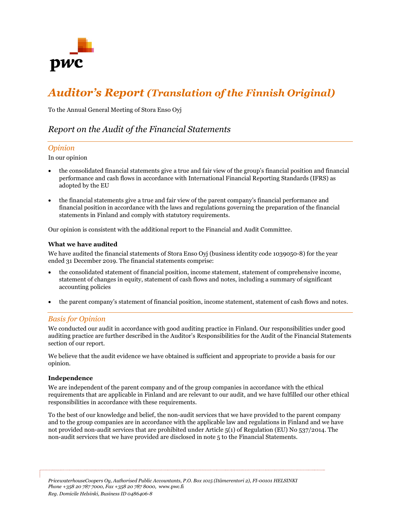

# Auditor's Report (Translation of the Finnish Original)

To the Annual General Meeting of Stora Enso Oyj

# Report on the Audit of the Financial Statements

# Opinion

In our opinion

- the consolidated financial statements give a true and fair view of the group's financial position and financial performance and cash flows in accordance with International Financial Reporting Standards (IFRS) as adopted by the EU
- the financial statements give a true and fair view of the parent company's financial performance and financial position in accordance with the laws and regulations governing the preparation of the financial statements in Finland and comply with statutory requirements.

Our opinion is consistent with the additional report to the Financial and Audit Committee.

#### What we have audited

We have audited the financial statements of Stora Enso Oyj (business identity code 1039050-8) for the year ended 31 December 2019. The financial statements comprise:

- the consolidated statement of financial position, income statement, statement of comprehensive income, statement of changes in equity, statement of cash flows and notes, including a summary of significant accounting policies
- the parent company's statement of financial position, income statement, statement of cash flows and notes.

# Basis for Opinion

We conducted our audit in accordance with good auditing practice in Finland. Our responsibilities under good auditing practice are further described in the Auditor's Responsibilities for the Audit of the Financial Statements section of our report.

We believe that the audit evidence we have obtained is sufficient and appropriate to provide a basis for our opinion.

#### Independence

We are independent of the parent company and of the group companies in accordance with the ethical requirements that are applicable in Finland and are relevant to our audit, and we have fulfilled our other ethical responsibilities in accordance with these requirements.

To the best of our knowledge and belief, the non-audit services that we have provided to the parent company and to the group companies are in accordance with the applicable law and regulations in Finland and we have not provided non-audit services that are prohibited under Article 5(1) of Regulation (EU) No 537/2014. The non-audit services that we have provided are disclosed in note 5 to the Financial Statements.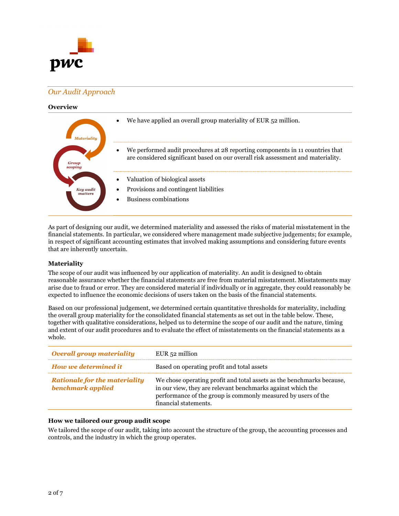

# Our Audit Approach

#### **Overview**



As part of designing our audit, we determined materiality and assessed the risks of material misstatement in the financial statements. In particular, we considered where management made subjective judgements; for example, in respect of significant accounting estimates that involved making assumptions and considering future events that are inherently uncertain.

#### **Materiality**

The scope of our audit was influenced by our application of materiality. An audit is designed to obtain reasonable assurance whether the financial statements are free from material misstatement. Misstatements may arise due to fraud or error. They are considered material if individually or in aggregate, they could reasonably be expected to influence the economic decisions of users taken on the basis of the financial statements.

Based on our professional judgement, we determined certain quantitative thresholds for materiality, including the overall group materiality for the consolidated financial statements as set out in the table below. These, together with qualitative considerations, helped us to determine the scope of our audit and the nature, timing and extent of our audit procedures and to evaluate the effect of misstatements on the financial statements as a whole.

| <b>Overall group materiality</b>                          | EUR $52$ million                                                                                                                                                                                                               |  |
|-----------------------------------------------------------|--------------------------------------------------------------------------------------------------------------------------------------------------------------------------------------------------------------------------------|--|
| How we determined it                                      | Based on operating profit and total assets                                                                                                                                                                                     |  |
| <b>Rationale for the materiality</b><br>benchmark applied | We chose operating profit and total assets as the benchmarks because,<br>in our view, they are relevant benchmarks against which the<br>performance of the group is commonly measured by users of the<br>financial statements. |  |

#### How we tailored our group audit scope

We tailored the scope of our audit, taking into account the structure of the group, the accounting processes and controls, and the industry in which the group operates.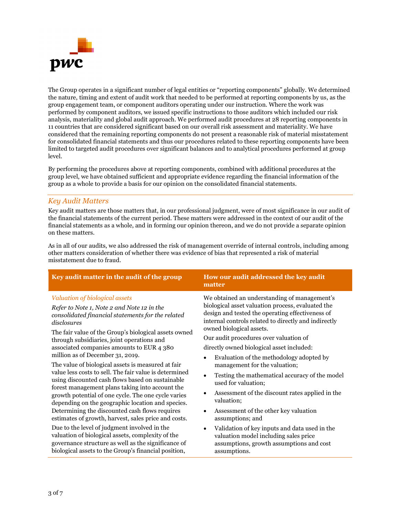

The Group operates in a significant number of legal entities or "reporting components" globally. We determined the nature, timing and extent of audit work that needed to be performed at reporting components by us, as the group engagement team, or component auditors operating under our instruction. Where the work was performed by component auditors, we issued specific instructions to those auditors which included our risk analysis, materiality and global audit approach. We performed audit procedures at 28 reporting components in 11 countries that are considered significant based on our overall risk assessment and materiality. We have considered that the remaining reporting components do not present a reasonable risk of material misstatement for consolidated financial statements and thus our procedures related to these reporting components have been limited to targeted audit procedures over significant balances and to analytical procedures performed at group level.

By performing the procedures above at reporting components, combined with additional procedures at the group level, we have obtained sufficient and appropriate evidence regarding the financial information of the group as a whole to provide a basis for our opinion on the consolidated financial statements.

# Key Audit Matters

Key audit matters are those matters that, in our professional judgment, were of most significance in our audit of the financial statements of the current period. These matters were addressed in the context of our audit of the financial statements as a whole, and in forming our opinion thereon, and we do not provide a separate opinion on these matters.

As in all of our audits, we also addressed the risk of management override of internal controls, including among other matters consideration of whether there was evidence of bias that represented a risk of material misstatement due to fraud.

| Key audit matter in the audit of the group                                                                                                                                                                                                                                                                                                                                                                                                                                                                                                                                                                                                                                                                                                                                            | How our audit addressed the key audit<br>matter                                                                                                                                                                                                                                                                                                                                                                                                                                                                                                                                                                                   |
|---------------------------------------------------------------------------------------------------------------------------------------------------------------------------------------------------------------------------------------------------------------------------------------------------------------------------------------------------------------------------------------------------------------------------------------------------------------------------------------------------------------------------------------------------------------------------------------------------------------------------------------------------------------------------------------------------------------------------------------------------------------------------------------|-----------------------------------------------------------------------------------------------------------------------------------------------------------------------------------------------------------------------------------------------------------------------------------------------------------------------------------------------------------------------------------------------------------------------------------------------------------------------------------------------------------------------------------------------------------------------------------------------------------------------------------|
| Valuation of biological assets<br>Refer to Note 1, Note 2 and Note 12 in the<br>consolidated financial statements for the related<br>disclosures<br>The fair value of the Group's biological assets owned<br>through subsidiaries, joint operations and<br>associated companies amounts to EUR 4 380<br>million as of December 31, 2019.<br>The value of biological assets is measured at fair<br>value less costs to sell. The fair value is determined<br>using discounted cash flows based on sustainable<br>forest management plans taking into account the<br>growth potential of one cycle. The one cycle varies<br>depending on the geographic location and species.<br>Determining the discounted cash flows requires<br>estimates of growth, harvest, sales price and costs. | We obtained an understanding of management's<br>biological asset valuation process, evaluated the<br>design and tested the operating effectiveness of<br>internal controls related to directly and indirectly<br>owned biological assets.<br>Our audit procedures over valuation of<br>directly owned biological asset included:<br>Evaluation of the methodology adopted by<br>management for the valuation;<br>Testing the mathematical accuracy of the model<br>$\bullet$<br>used for valuation;<br>Assessment of the discount rates applied in the<br>valuation;<br>Assessment of the other key valuation<br>assumptions; and |
| Due to the level of judgment involved in the<br>valuation of biological assets, complexity of the<br>governance structure as well as the significance of<br>biological assets to the Group's financial position,                                                                                                                                                                                                                                                                                                                                                                                                                                                                                                                                                                      | Validation of key inputs and data used in the<br>$\bullet$<br>valuation model including sales price<br>assumptions, growth assumptions and cost<br>assumptions.                                                                                                                                                                                                                                                                                                                                                                                                                                                                   |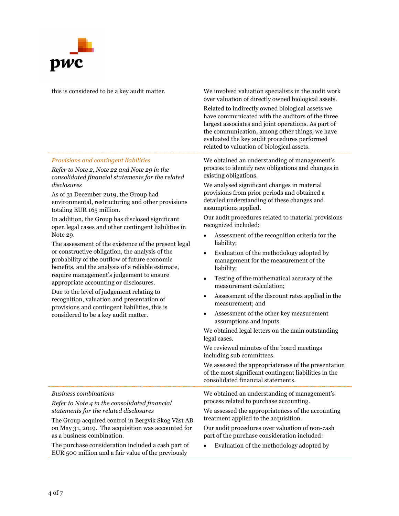

| this is considered to be a key audit matter.                                                                                                                                                                                                                                                                                                                                                                                                                                                                                                                                                                                                                                                                                                                                                                                                                                                             | We involved valuation specialists in the audit work<br>over valuation of directly owned biological assets.<br>Related to indirectly owned biological assets we<br>have communicated with the auditors of the three<br>largest associates and joint operations. As part of<br>the communication, among other things, we have<br>evaluated the key audit procedures performed<br>related to valuation of biological assets.                                                                                                                                                                                                                                                                                                                                                                                                                                                                                                                                                                                                                                                                           |
|----------------------------------------------------------------------------------------------------------------------------------------------------------------------------------------------------------------------------------------------------------------------------------------------------------------------------------------------------------------------------------------------------------------------------------------------------------------------------------------------------------------------------------------------------------------------------------------------------------------------------------------------------------------------------------------------------------------------------------------------------------------------------------------------------------------------------------------------------------------------------------------------------------|-----------------------------------------------------------------------------------------------------------------------------------------------------------------------------------------------------------------------------------------------------------------------------------------------------------------------------------------------------------------------------------------------------------------------------------------------------------------------------------------------------------------------------------------------------------------------------------------------------------------------------------------------------------------------------------------------------------------------------------------------------------------------------------------------------------------------------------------------------------------------------------------------------------------------------------------------------------------------------------------------------------------------------------------------------------------------------------------------------|
| Provisions and contingent liabilities<br>Refer to Note 2, Note 22 and Note 29 in the<br>consolidated financial statements for the related<br>disclosures<br>As of 31 December 2019, the Group had<br>environmental, restructuring and other provisions<br>totaling EUR 165 million.<br>In addition, the Group has disclosed significant<br>open legal cases and other contingent liabilities in<br>Note 29.<br>The assessment of the existence of the present legal<br>or constructive obligation, the analysis of the<br>probability of the outflow of future economic<br>benefits, and the analysis of a reliable estimate,<br>require management's judgement to ensure<br>appropriate accounting or disclosures.<br>Due to the level of judgement relating to<br>recognition, valuation and presentation of<br>provisions and contingent liabilities, this is<br>considered to be a key audit matter. | We obtained an understanding of management's<br>process to identify new obligations and changes in<br>existing obligations.<br>We analysed significant changes in material<br>provisions from prior periods and obtained a<br>detailed understanding of these changes and<br>assumptions applied.<br>Our audit procedures related to material provisions<br>recognized included:<br>Assessment of the recognition criteria for the<br>$\bullet$<br>liability;<br>Evaluation of the methodology adopted by<br>$\bullet$<br>management for the measurement of the<br>liability;<br>Testing of the mathematical accuracy of the<br>$\bullet$<br>measurement calculation;<br>Assessment of the discount rates applied in the<br>$\bullet$<br>measurement; and<br>Assessment of the other key measurement<br>٠<br>assumptions and inputs.<br>We obtained legal letters on the main outstanding<br>legal cases.<br>We reviewed minutes of the board meetings<br>including sub committees.<br>We assessed the appropriateness of the presentation<br>of the most significant contingent liabilities in the |
| Business combinations<br>Refer to Note 4 in the consolidated financial<br>statements for the related disclosures<br>The Group acquired control in Bergvik Skog Väst AB<br>on May 31, 2019. The acquisition was accounted for<br>as a business combination.                                                                                                                                                                                                                                                                                                                                                                                                                                                                                                                                                                                                                                               | consolidated financial statements.<br>We obtained an understanding of management's<br>process related to purchase accounting.<br>We assessed the appropriateness of the accounting<br>treatment applied to the acquisition.<br>Our audit procedures over valuation of non-cash<br>part of the purchase consideration included:                                                                                                                                                                                                                                                                                                                                                                                                                                                                                                                                                                                                                                                                                                                                                                      |

The purchase consideration included a cash part of  $\qquad \bullet$ EUR 500 million and a fair value of the previously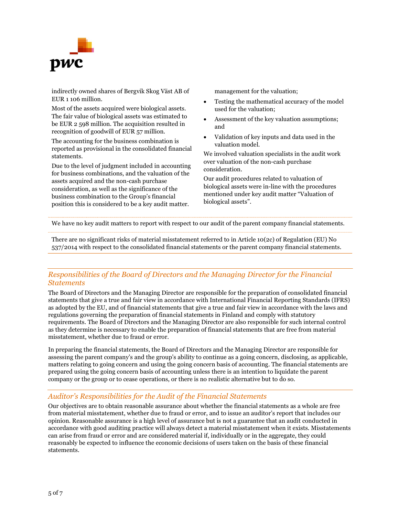

indirectly owned shares of Bergvik Skog Väst AB of EUR 1 106 million.

Most of the assets acquired were biological assets. The fair value of biological assets was estimated to be EUR 2 598 million. The acquisition resulted in recognition of goodwill of EUR 57 million.

The accounting for the business combination is reported as provisional in the consolidated financial statements.

Due to the level of judgment included in accounting for business combinations, and the valuation of the assets acquired and the non-cash purchase consideration, as well as the significance of the business combination to the Group's financial position this is considered to be a key audit matter.

management for the valuation;

- Testing the mathematical accuracy of the model used for the valuation;
- Assessment of the key valuation assumptions; and
- Validation of key inputs and data used in the valuation model.

We involved valuation specialists in the audit work over valuation of the non-cash purchase consideration.

Our audit procedures related to valuation of biological assets were in-line with the procedures mentioned under key audit matter "Valuation of biological assets".

We have no key audit matters to report with respect to our audit of the parent company financial statements.

There are no significant risks of material misstatement referred to in Article 10(2c) of Regulation (EU) No 537/2014 with respect to the consolidated financial statements or the parent company financial statements.

# Responsibilities of the Board of Directors and the Managing Director for the Financial **Statements**

The Board of Directors and the Managing Director are responsible for the preparation of consolidated financial statements that give a true and fair view in accordance with International Financial Reporting Standards (IFRS) as adopted by the EU, and of financial statements that give a true and fair view in accordance with the laws and regulations governing the preparation of financial statements in Finland and comply with statutory requirements. The Board of Directors and the Managing Director are also responsible for such internal control as they determine is necessary to enable the preparation of financial statements that are free from material misstatement, whether due to fraud or error.

In preparing the financial statements, the Board of Directors and the Managing Director are responsible for assessing the parent company's and the group's ability to continue as a going concern, disclosing, as applicable, matters relating to going concern and using the going concern basis of accounting. The financial statements are prepared using the going concern basis of accounting unless there is an intention to liquidate the parent company or the group or to cease operations, or there is no realistic alternative but to do so.

# Auditor's Responsibilities for the Audit of the Financial Statements

Our objectives are to obtain reasonable assurance about whether the financial statements as a whole are free from material misstatement, whether due to fraud or error, and to issue an auditor's report that includes our opinion. Reasonable assurance is a high level of assurance but is not a guarantee that an audit conducted in accordance with good auditing practice will always detect a material misstatement when it exists. Misstatements can arise from fraud or error and are considered material if, individually or in the aggregate, they could reasonably be expected to influence the economic decisions of users taken on the basis of these financial statements.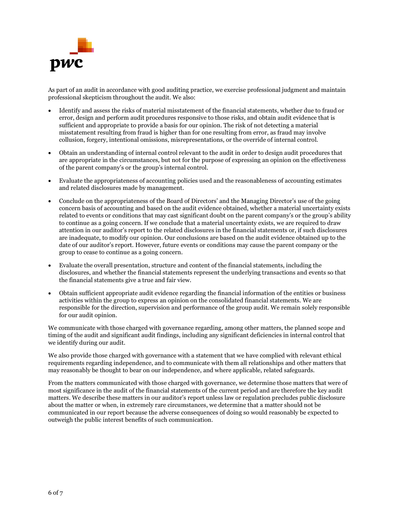

As part of an audit in accordance with good auditing practice, we exercise professional judgment and maintain professional skepticism throughout the audit. We also:

- Identify and assess the risks of material misstatement of the financial statements, whether due to fraud or error, design and perform audit procedures responsive to those risks, and obtain audit evidence that is sufficient and appropriate to provide a basis for our opinion. The risk of not detecting a material misstatement resulting from fraud is higher than for one resulting from error, as fraud may involve collusion, forgery, intentional omissions, misrepresentations, or the override of internal control.
- Obtain an understanding of internal control relevant to the audit in order to design audit procedures that are appropriate in the circumstances, but not for the purpose of expressing an opinion on the effectiveness of the parent company's or the group's internal control.
- Evaluate the appropriateness of accounting policies used and the reasonableness of accounting estimates and related disclosures made by management.
- Conclude on the appropriateness of the Board of Directors' and the Managing Director's use of the going concern basis of accounting and based on the audit evidence obtained, whether a material uncertainty exists related to events or conditions that may cast significant doubt on the parent company's or the group's ability to continue as a going concern. If we conclude that a material uncertainty exists, we are required to draw attention in our auditor's report to the related disclosures in the financial statements or, if such disclosures are inadequate, to modify our opinion. Our conclusions are based on the audit evidence obtained up to the date of our auditor's report. However, future events or conditions may cause the parent company or the group to cease to continue as a going concern.
- Evaluate the overall presentation, structure and content of the financial statements, including the disclosures, and whether the financial statements represent the underlying transactions and events so that the financial statements give a true and fair view.
- Obtain sufficient appropriate audit evidence regarding the financial information of the entities or business activities within the group to express an opinion on the consolidated financial statements. We are responsible for the direction, supervision and performance of the group audit. We remain solely responsible for our audit opinion.

We communicate with those charged with governance regarding, among other matters, the planned scope and timing of the audit and significant audit findings, including any significant deficiencies in internal control that we identify during our audit.

We also provide those charged with governance with a statement that we have complied with relevant ethical requirements regarding independence, and to communicate with them all relationships and other matters that may reasonably be thought to bear on our independence, and where applicable, related safeguards.

From the matters communicated with those charged with governance, we determine those matters that were of most significance in the audit of the financial statements of the current period and are therefore the key audit matters. We describe these matters in our auditor's report unless law or regulation precludes public disclosure about the matter or when, in extremely rare circumstances, we determine that a matter should not be communicated in our report because the adverse consequences of doing so would reasonably be expected to outweigh the public interest benefits of such communication.